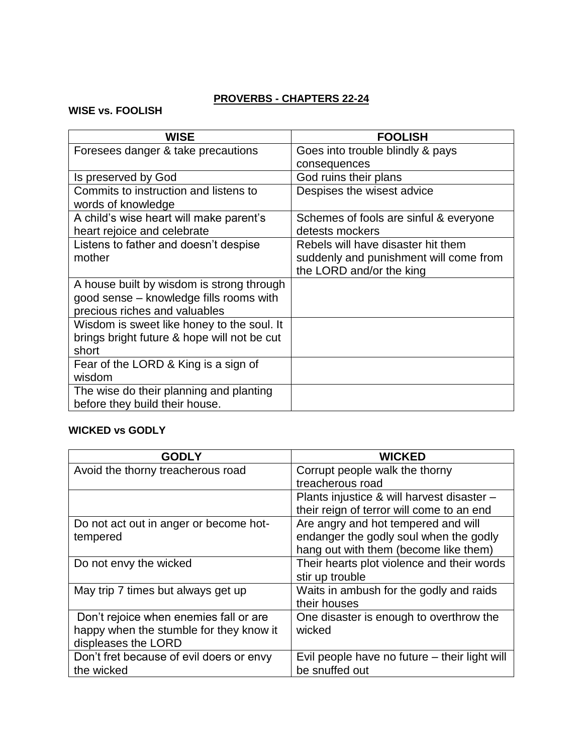### **PROVERBS - CHAPTERS 22-24**

#### **WISE vs. FOOLISH**

| <b>WISE</b>                                 | <b>FOOLISH</b>                         |
|---------------------------------------------|----------------------------------------|
| Foresees danger & take precautions          | Goes into trouble blindly & pays       |
|                                             | consequences                           |
| Is preserved by God                         | God ruins their plans                  |
| Commits to instruction and listens to       | Despises the wisest advice             |
| words of knowledge                          |                                        |
| A child's wise heart will make parent's     | Schemes of fools are sinful & everyone |
| heart rejoice and celebrate                 | detests mockers                        |
| Listens to father and doesn't despise       | Rebels will have disaster hit them     |
| mother                                      | suddenly and punishment will come from |
|                                             | the LORD and/or the king               |
| A house built by wisdom is strong through   |                                        |
| good sense - knowledge fills rooms with     |                                        |
| precious riches and valuables               |                                        |
| Wisdom is sweet like honey to the soul. It  |                                        |
| brings bright future & hope will not be cut |                                        |
| short                                       |                                        |
| Fear of the LORD & King is a sign of        |                                        |
| wisdom                                      |                                        |
| The wise do their planning and planting     |                                        |
| before they build their house.              |                                        |

### **WICKED vs GODLY**

| <b>GODLY</b>                             | <b>WICKED</b>                                 |
|------------------------------------------|-----------------------------------------------|
| Avoid the thorny treacherous road        | Corrupt people walk the thorny                |
|                                          | treacherous road                              |
|                                          | Plants injustice & will harvest disaster -    |
|                                          | their reign of terror will come to an end     |
| Do not act out in anger or become hot-   | Are angry and hot tempered and will           |
| tempered                                 | endanger the godly soul when the godly        |
|                                          | hang out with them (become like them)         |
| Do not envy the wicked                   | Their hearts plot violence and their words    |
|                                          | stir up trouble                               |
| May trip 7 times but always get up       | Waits in ambush for the godly and raids       |
|                                          | their houses                                  |
| Don't rejoice when enemies fall or are.  | One disaster is enough to overthrow the       |
| happy when the stumble for they know it  | wicked                                        |
| displeases the LORD                      |                                               |
| Don't fret because of evil doers or envy | Evil people have no future – their light will |
| the wicked                               | be snuffed out                                |